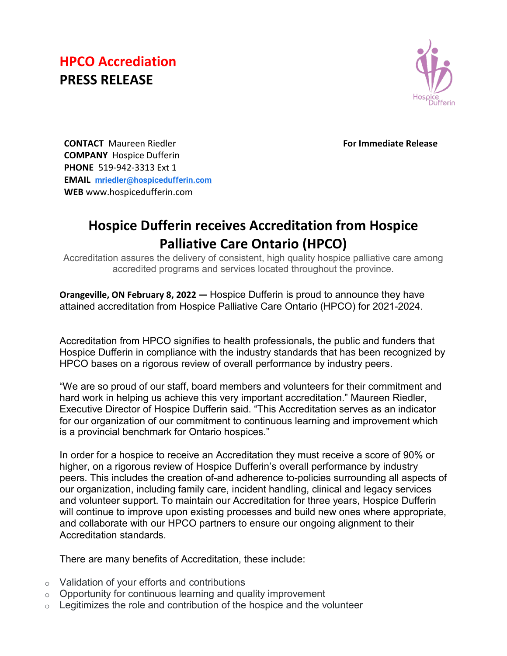## **HPCO Accrediation PRESS RELEASE**



 **For Immediate Release**

**CONTACT** Maureen Riedler **COMPANY** Hospice Dufferin **PHONE** 519-942-3313 Ext 1 **EMAIL [mriedler@hospicedufferin.com](mailto:mriedler@hospicedufferin.com) WEB** www.hospicedufferin.com

## **Hospice Dufferin receives Accreditation from Hospice Palliative Care Ontario (HPCO)**

Accreditation assures the delivery of consistent, high quality hospice palliative care among accredited programs and services located throughout the province.

**Orangeville, ON February 8, 2022 —** Hospice Dufferin is proud to announce they have attained accreditation from Hospice Palliative Care Ontario (HPCO) for 2021-2024.

Accreditation from HPCO signifies to health professionals, the public and funders that Hospice Dufferin in compliance with the industry standards that has been recognized by HPCO bases on a rigorous review of overall performance by industry peers.

"We are so proud of our staff, board members and volunteers for their commitment and hard work in helping us achieve this very important accreditation." Maureen Riedler, Executive Director of Hospice Dufferin said. "This Accreditation serves as an indicator for our organization of our commitment to continuous learning and improvement which is a provincial benchmark for Ontario hospices."

In order for a hospice to receive an Accreditation they must receive a score of 90% or higher, on a rigorous review of Hospice Dufferin's overall performance by industry peers. This includes the creation of-and adherence to-policies surrounding all aspects of our organization, including family care, incident handling, clinical and legacy services and volunteer support. To maintain our Accreditation for three years, Hospice Dufferin will continue to improve upon existing processes and build new ones where appropriate, and collaborate with our HPCO partners to ensure our ongoing alignment to their Accreditation standards.

There are many benefits of Accreditation, these include:

- o Validation of your efforts and contributions
- $\circ$  Opportunity for continuous learning and quality improvement
- $\circ$  Legitimizes the role and contribution of the hospice and the volunteer